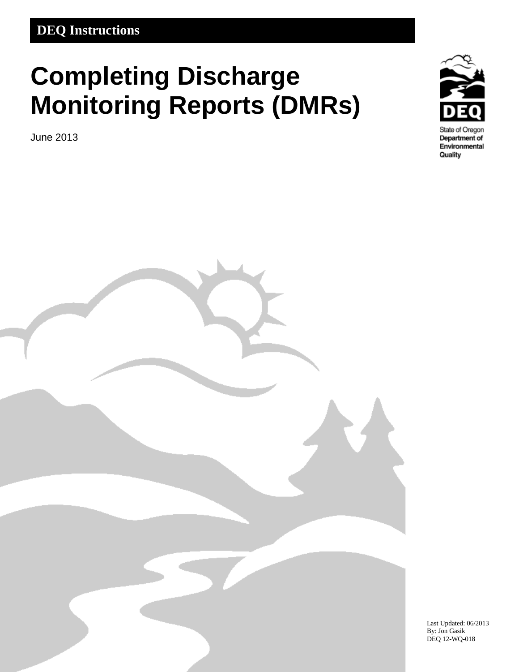### **DEQ Instructions**

# **Completing Discharge Monitoring Reports (DMRs)**

June 2013



Department of Environmental Quality



Last Updated: 06/2013 By: Jon Gasik DEQ 12-WQ-018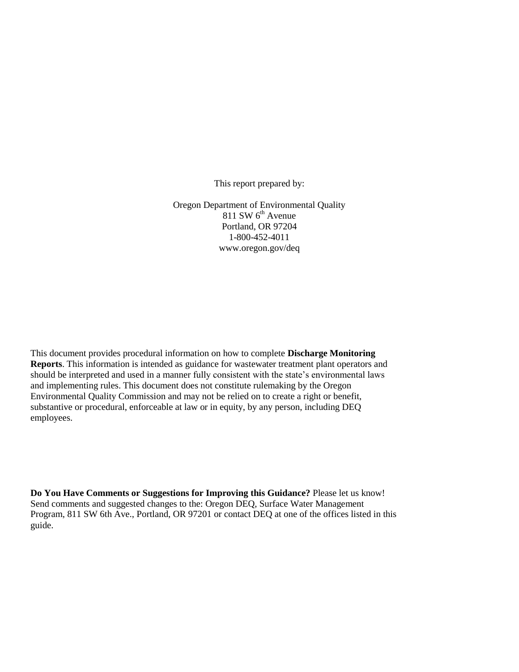This report prepared by:

Oregon Department of Environmental Quality  $811$  SW  $6<sup>th</sup>$  Avenue Portland, OR 97204 1-800-452-4011 www.oregon.gov/deq

This document provides procedural information on how to complete **Discharge Monitoring Reports**. This information is intended as guidance for wastewater treatment plant operators and should be interpreted and used in a manner fully consistent with the state's environmental laws and implementing rules. This document does not constitute rulemaking by the Oregon Environmental Quality Commission and may not be relied on to create a right or benefit, substantive or procedural, enforceable at law or in equity, by any person, including DEQ employees.

**Do You Have Comments or Suggestions for Improving this Guidance?** Please let us know! Send comments and suggested changes to the: Oregon DEQ, Surface Water Management Program, 811 SW 6th Ave., Portland, OR 97201 or contact DEQ at one of the offices listed in this guide.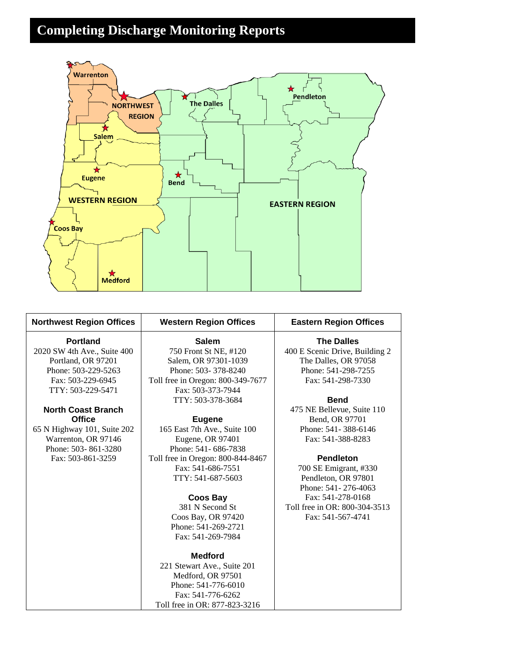# **Completing Discharge Monitoring Reports**



| <b>Northwest Region Offices</b> | <b>Western Region Offices</b>     | <b>Eastern Region Offices</b>  |  |
|---------------------------------|-----------------------------------|--------------------------------|--|
| <b>Portland</b>                 | <b>Salem</b>                      | <b>The Dalles</b>              |  |
| 2020 SW 4th Ave., Suite 400     | 750 Front St NE, #120             | 400 E Scenic Drive, Building 2 |  |
| Portland, OR 97201              | Salem, OR 97301-1039              | The Dalles, OR 97058           |  |
| Phone: 503-229-5263             | Phone: 503-378-8240               | Phone: 541-298-7255            |  |
| Fax: 503-229-6945               | Toll free in Oregon: 800-349-7677 | Fax: 541-298-7330              |  |
| TTY: 503-229-5471               | Fax: 503-373-7944                 |                                |  |
|                                 | TTY: 503-378-3684                 | <b>Bend</b>                    |  |
| <b>North Coast Branch</b>       |                                   | 475 NE Bellevue, Suite 110     |  |
| <b>Office</b>                   | <b>Eugene</b>                     | Bend, OR 97701                 |  |
| 65 N Highway 101, Suite 202     | 165 East 7th Ave., Suite 100      | Phone: 541-388-6146            |  |
| Warrenton, OR 97146             | Eugene, OR 97401                  | Fax: 541-388-8283              |  |
| Phone: 503-861-3280             | Phone: 541-686-7838               |                                |  |
| Fax: 503-861-3259               | Toll free in Oregon: 800-844-8467 | <b>Pendleton</b>               |  |
|                                 | Fax: 541-686-7551                 | 700 SE Emigrant, #330          |  |
|                                 | TTY: 541-687-5603                 | Pendleton, OR 97801            |  |
|                                 |                                   | Phone: 541-276-4063            |  |
|                                 | <b>Coos Bay</b>                   | Fax: 541-278-0168              |  |
|                                 | 381 N Second St                   | Toll free in OR: 800-304-3513  |  |
|                                 | Coos Bay, OR 97420                | Fax: 541-567-4741              |  |
|                                 | Phone: 541-269-2721               |                                |  |
|                                 | Fax: 541-269-7984                 |                                |  |
|                                 | <b>Medford</b>                    |                                |  |
|                                 | 221 Stewart Ave., Suite 201       |                                |  |
|                                 | Medford, OR 97501                 |                                |  |
|                                 | Phone: 541-776-6010               |                                |  |
|                                 | Fax: 541-776-6262                 |                                |  |
|                                 | Toll free in OR: 877-823-3216     |                                |  |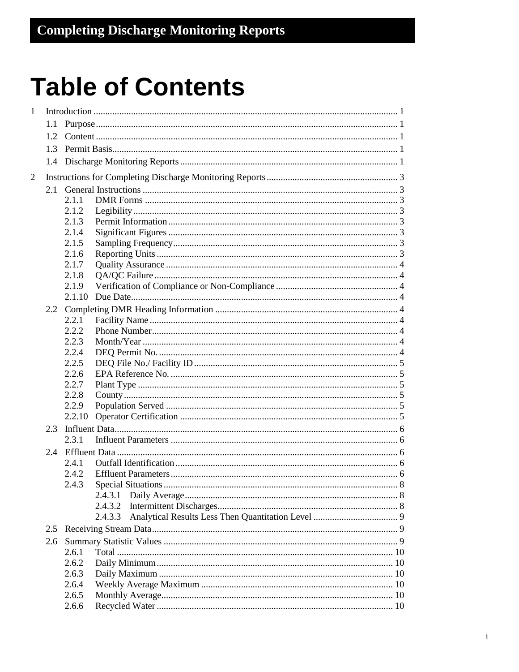# **Table of Contents**

| $\mathbf{1}$ |     |         |  |  |
|--------------|-----|---------|--|--|
|              | 1.1 |         |  |  |
|              |     |         |  |  |
|              |     |         |  |  |
|              |     |         |  |  |
| 2            |     |         |  |  |
|              |     |         |  |  |
|              |     | 2.1.1   |  |  |
|              |     | 2.1.2   |  |  |
|              |     | 2.1.3   |  |  |
|              |     | 2.1.4   |  |  |
|              |     | 2.1.5   |  |  |
|              |     | 2.1.6   |  |  |
|              |     | 2.1.7   |  |  |
|              |     | 2.1.8   |  |  |
|              |     | 2.1.9   |  |  |
|              |     |         |  |  |
|              |     |         |  |  |
|              |     | 2.2.1   |  |  |
|              |     | 2.2.2   |  |  |
|              |     | 2.2.3   |  |  |
|              |     | 2.2.4   |  |  |
|              |     | 2.2.5   |  |  |
|              |     | 2.2.6   |  |  |
|              |     | 2.2.7   |  |  |
|              |     | 2.2.8   |  |  |
|              |     | 2.2.9   |  |  |
|              |     | 2.2.10  |  |  |
|              |     |         |  |  |
|              |     | 2.3.1   |  |  |
|              |     |         |  |  |
|              |     | 2.4.1   |  |  |
|              |     | 2.4.2   |  |  |
|              |     | 2.4.3   |  |  |
|              |     | 2.4.3.1 |  |  |
|              |     | 2.4.3.2 |  |  |
|              |     | 2.4.3.3 |  |  |
|              |     |         |  |  |
|              | 2.6 |         |  |  |
|              |     | 2.6.1   |  |  |
|              |     | 2.6.2   |  |  |
|              |     | 2.6.3   |  |  |
|              |     | 2.6.4   |  |  |
|              |     | 2.6.5   |  |  |
|              |     | 2.6.6   |  |  |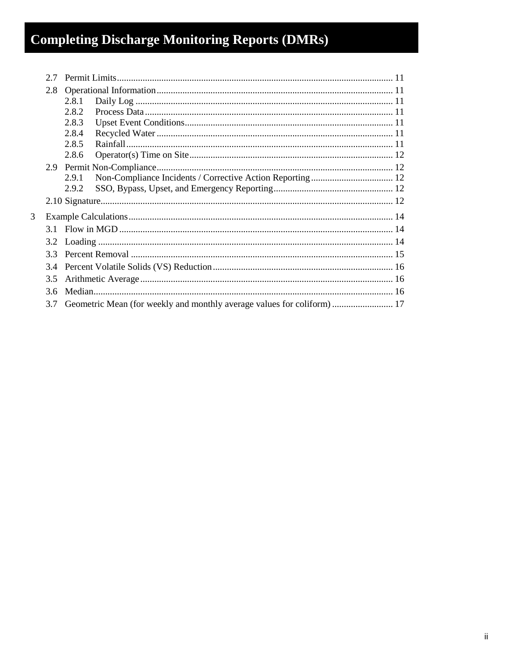# **Completing Discharge Monitoring Reports (DMRs)**

|   | 27            |                                                                        |  |  |  |
|---|---------------|------------------------------------------------------------------------|--|--|--|
|   | 2.8           |                                                                        |  |  |  |
|   |               | 2.8.1                                                                  |  |  |  |
|   |               | 2.8.2                                                                  |  |  |  |
|   |               | 2.8.3                                                                  |  |  |  |
|   |               | 2.8.4                                                                  |  |  |  |
|   |               | 2.8.5                                                                  |  |  |  |
|   |               | 2.8.6                                                                  |  |  |  |
|   |               |                                                                        |  |  |  |
|   |               | 2.9.1                                                                  |  |  |  |
|   |               | 2.9.2                                                                  |  |  |  |
|   |               |                                                                        |  |  |  |
| 3 |               |                                                                        |  |  |  |
|   |               |                                                                        |  |  |  |
|   |               |                                                                        |  |  |  |
|   | 33            |                                                                        |  |  |  |
|   | 3.4           |                                                                        |  |  |  |
|   | $3.5^{\circ}$ |                                                                        |  |  |  |
|   | 36            |                                                                        |  |  |  |
|   | 3.7           | Geometric Mean (for weekly and monthly average values for coliform) 17 |  |  |  |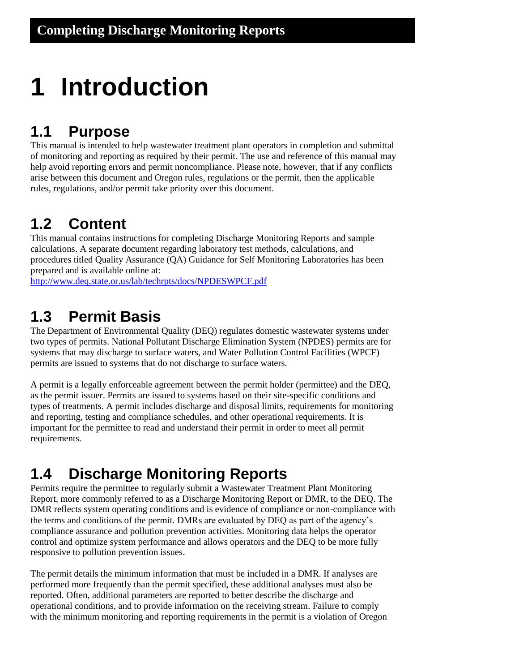# <span id="page-5-0"></span>**1 Introduction**

### <span id="page-5-1"></span>**1.1 Purpose**

This manual is intended to help wastewater treatment plant operators in completion and submittal of monitoring and reporting as required by their permit. The use and reference of this manual may help avoid reporting errors and permit noncompliance. Please note, however, that if any conflicts arise between this document and Oregon rules, regulations or the permit, then the applicable rules, regulations, and/or permit take priority over this document.

## <span id="page-5-2"></span>**1.2 Content**

This manual contains instructions for completing Discharge Monitoring Reports and sample calculations. A separate document regarding laboratory test methods, calculations, and procedures titled Quality Assurance (QA) Guidance for Self Monitoring Laboratories has been prepared and is available online at:

<http://www.deq.state.or.us/lab/techrpts/docs/NPDESWPCF.pdf>

### <span id="page-5-3"></span>**1.3 Permit Basis**

The Department of Environmental Quality (DEQ) regulates domestic wastewater systems under two types of permits. National Pollutant Discharge Elimination System (NPDES) permits are for systems that may discharge to surface waters, and Water Pollution Control Facilities (WPCF) permits are issued to systems that do not discharge to surface waters.

A permit is a legally enforceable agreement between the permit holder (permittee) and the DEQ, as the permit issuer. Permits are issued to systems based on their site-specific conditions and types of treatments. A permit includes discharge and disposal limits, requirements for monitoring and reporting, testing and compliance schedules, and other operational requirements. It is important for the permittee to read and understand their permit in order to meet all permit requirements.

# <span id="page-5-4"></span>**1.4 Discharge Monitoring Reports**

Permits require the permittee to regularly submit a Wastewater Treatment Plant Monitoring Report, more commonly referred to as a Discharge Monitoring Report or DMR, to the DEQ. The DMR reflects system operating conditions and is evidence of compliance or non-compliance with the terms and conditions of the permit. DMRs are evaluated by DEQ as part of the agency's compliance assurance and pollution prevention activities. Monitoring data helps the operator control and optimize system performance and allows operators and the DEQ to be more fully responsive to pollution prevention issues.

The permit details the minimum information that must be included in a DMR. If analyses are performed more frequently than the permit specified, these additional analyses must also be reported. Often, additional parameters are reported to better describe the discharge and operational conditions, and to provide information on the receiving stream. Failure to comply with the minimum monitoring and reporting requirements in the permit is a violation of Oregon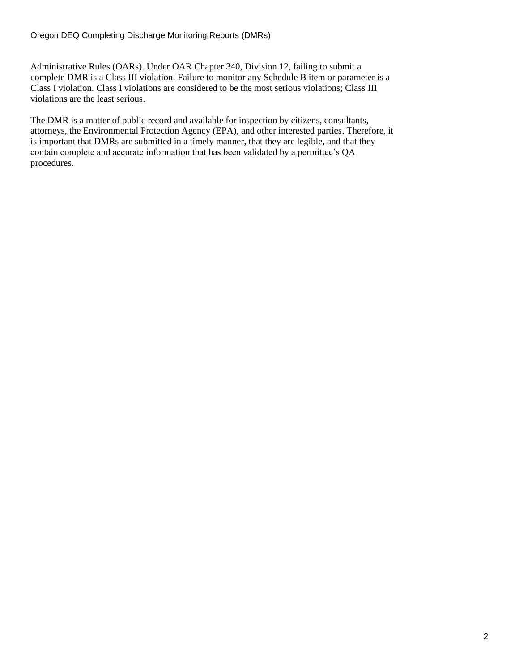Administrative Rules (OARs). Under OAR Chapter 340, Division 12, failing to submit a complete DMR is a Class III violation. Failure to monitor any Schedule B item or parameter is a Class I violation. Class I violations are considered to be the most serious violations; Class III violations are the least serious.

The DMR is a matter of public record and available for inspection by citizens, consultants, attorneys, the Environmental Protection Agency (EPA), and other interested parties. Therefore, it is important that DMRs are submitted in a timely manner, that they are legible, and that they contain complete and accurate information that has been validated by a permittee's QA procedures.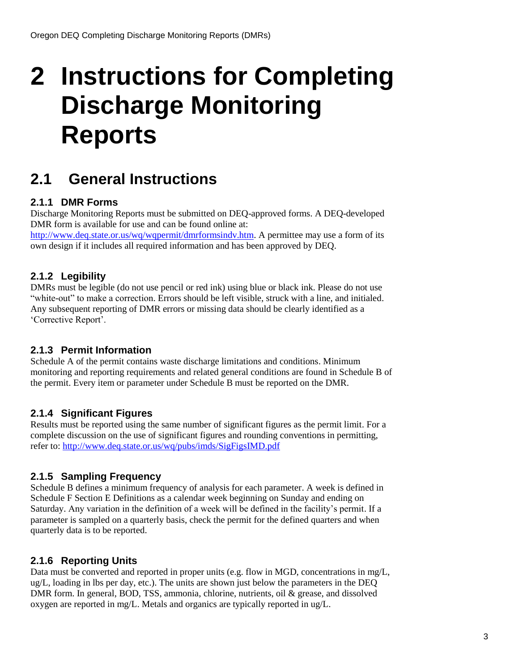# <span id="page-7-0"></span>**2 Instructions for Completing Discharge Monitoring Reports**

## <span id="page-7-1"></span>**2.1 General Instructions**

#### <span id="page-7-2"></span>**2.1.1 DMR Forms**

Discharge Monitoring Reports must be submitted on DEQ-approved forms. A DEQ-developed DMR form is available for use and can be found online at:

[http://www.deq.state.or.us/wq/wqpermit/dmrformsindv.htm.](http://www.deq.state.or.us/wq/wqpermit/dmrformsindv.htm) A permittee may use a form of its own design if it includes all required information and has been approved by DEQ.

#### <span id="page-7-3"></span>**2.1.2 Legibility**

DMRs must be legible (do not use pencil or red ink) using blue or black ink. Please do not use "white-out" to make a correction. Errors should be left visible, struck with a line, and initialed. Any subsequent reporting of DMR errors or missing data should be clearly identified as a 'Corrective Report'.

#### <span id="page-7-4"></span>**2.1.3 Permit Information**

Schedule A of the permit contains waste discharge limitations and conditions. Minimum monitoring and reporting requirements and related general conditions are found in Schedule B of the permit. Every item or parameter under Schedule B must be reported on the DMR.

#### <span id="page-7-5"></span>**2.1.4 Significant Figures**

Results must be reported using the same number of significant figures as the permit limit. For a complete discussion on the use of significant figures and rounding conventions in permitting, refer to:<http://www.deq.state.or.us/wq/pubs/imds/SigFigsIMD.pdf>

#### <span id="page-7-6"></span>**2.1.5 Sampling Frequency**

Schedule B defines a minimum frequency of analysis for each parameter. A week is defined in Schedule F Section E Definitions as a calendar week beginning on Sunday and ending on Saturday. Any variation in the definition of a week will be defined in the facility's permit. If a parameter is sampled on a quarterly basis, check the permit for the defined quarters and when quarterly data is to be reported.

#### <span id="page-7-7"></span>**2.1.6 Reporting Units**

Data must be converted and reported in proper units (e.g. flow in MGD, concentrations in mg/L, ug/L, loading in lbs per day, etc.). The units are shown just below the parameters in the DEQ DMR form. In general, BOD, TSS, ammonia, chlorine, nutrients, oil & grease, and dissolved oxygen are reported in mg/L. Metals and organics are typically reported in ug/L.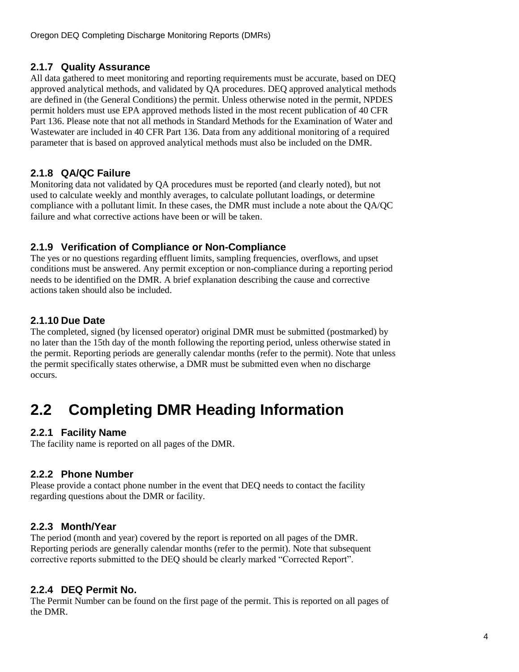#### <span id="page-8-0"></span>**2.1.7 Quality Assurance**

All data gathered to meet monitoring and reporting requirements must be accurate, based on DEQ approved analytical methods, and validated by QA procedures. DEQ approved analytical methods are defined in (the General Conditions) the permit. Unless otherwise noted in the permit, NPDES permit holders must use EPA approved methods listed in the most recent publication of 40 CFR Part 136. Please note that not all methods in Standard Methods for the Examination of Water and Wastewater are included in 40 CFR Part 136. Data from any additional monitoring of a required parameter that is based on approved analytical methods must also be included on the DMR.

#### <span id="page-8-1"></span>**2.1.8 QA/QC Failure**

Monitoring data not validated by QA procedures must be reported (and clearly noted), but not used to calculate weekly and monthly averages, to calculate pollutant loadings, or determine compliance with a pollutant limit. In these cases, the DMR must include a note about the QA/QC failure and what corrective actions have been or will be taken.

#### <span id="page-8-2"></span>**2.1.9 Verification of Compliance or Non-Compliance**

The yes or no questions regarding effluent limits, sampling frequencies, overflows, and upset conditions must be answered. Any permit exception or non-compliance during a reporting period needs to be identified on the DMR. A brief explanation describing the cause and corrective actions taken should also be included.

#### <span id="page-8-3"></span>**2.1.10 Due Date**

The completed, signed (by licensed operator) original DMR must be submitted (postmarked) by no later than the 15th day of the month following the reporting period, unless otherwise stated in the permit. Reporting periods are generally calendar months (refer to the permit). Note that unless the permit specifically states otherwise, a DMR must be submitted even when no discharge occurs.

# <span id="page-8-4"></span>**2.2 Completing DMR Heading Information**

#### <span id="page-8-5"></span>**2.2.1 Facility Name**

The facility name is reported on all pages of the DMR.

#### <span id="page-8-6"></span>**2.2.2 Phone Number**

Please provide a contact phone number in the event that DEQ needs to contact the facility regarding questions about the DMR or facility.

#### <span id="page-8-7"></span>**2.2.3 Month/Year**

The period (month and year) covered by the report is reported on all pages of the DMR. Reporting periods are generally calendar months (refer to the permit). Note that subsequent corrective reports submitted to the DEQ should be clearly marked "Corrected Report".

#### <span id="page-8-8"></span>**2.2.4 DEQ Permit No.**

The Permit Number can be found on the first page of the permit. This is reported on all pages of the DMR.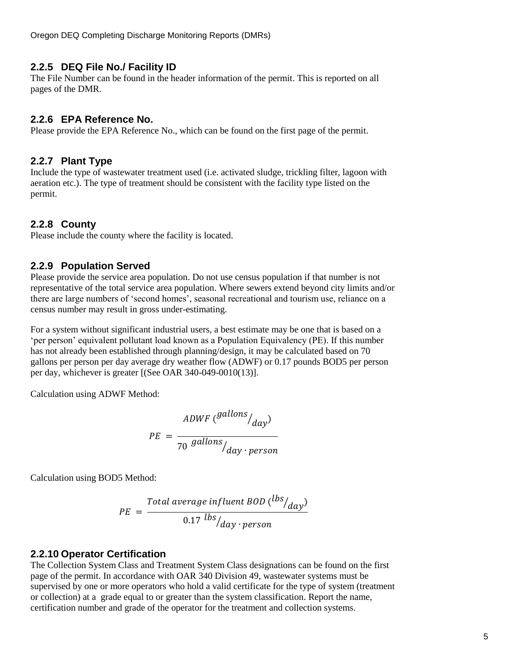Oregon DEQ Completing Discharge Monitoring Reports (DMRs)

#### <span id="page-9-0"></span>**2.2.5 DEQ File No./ Facility ID**

The File Number can be found in the header information of the permit. This is reported on all pages of the DMR.

#### <span id="page-9-1"></span>**2.2.6 EPA Reference No.**

Please provide the EPA Reference No., which can be found on the first page of the permit.

#### <span id="page-9-2"></span>**2.2.7 Plant Type**

Include the type of wastewater treatment used (i.e. activated sludge, trickling filter, lagoon with aeration etc.). The type of treatment should be consistent with the facility type listed on the permit.

#### <span id="page-9-3"></span>**2.2.8 County**

Please include the county where the facility is located.

#### <span id="page-9-4"></span>**2.2.9 Population Served**

Please provide the service area population. Do not use census population if that number is not representative of the total service area population. Where sewers extend beyond city limits and/or there are large numbers of 'second homes', seasonal recreational and tourism use, reliance on a census number may result in gross under-estimating.

For a system without significant industrial users, a best estimate may be one that is based on a 'per person' equivalent pollutant load known as a Population Equivalency (PE). If this number has not already been established through planning/design, it may be calculated based on 70 gallons per person per day average dry weather flow (ADWF) or 0.17 pounds BOD5 per person per day, whichever is greater [(See OAR 340-049-0010(13)].

Calculation using ADWF Method:

$$
PE = \frac{ADWF \left(\frac{gallons}{day}\right)}{70 \frac{gallons}{day \cdot person}}
$$

Calculation using BOD5 Method:

$$
PE = \frac{Total average influent BOD (lbs/day)}{0.17 \, ls/day \cdot person}
$$

#### <span id="page-9-5"></span>**2.2.10 Operator Certification**

The Collection System Class and Treatment System Class designations can be found on the first page of the permit. In accordance with OAR 340 Division 49, wastewater systems must be supervised by one or more operators who hold a valid certificate for the type of system (treatment or collection) at a grade equal to or greater than the system classification. Report the name, certification number and grade of the operator for the treatment and collection systems.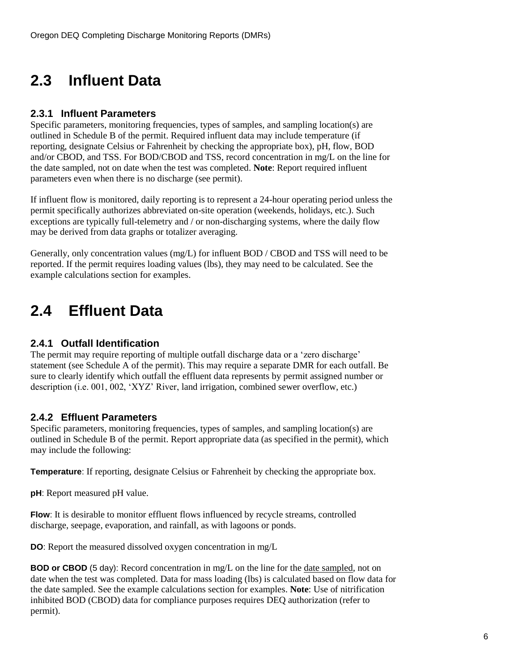# <span id="page-10-0"></span>**2.3 Influent Data**

#### <span id="page-10-1"></span>**2.3.1 Influent Parameters**

Specific parameters, monitoring frequencies, types of samples, and sampling location(s) are outlined in Schedule B of the permit. Required influent data may include temperature (if reporting, designate Celsius or Fahrenheit by checking the appropriate box), pH, flow, BOD and/or CBOD, and TSS. For BOD/CBOD and TSS, record concentration in mg/L on the line for the date sampled, not on date when the test was completed. **Note**: Report required influent parameters even when there is no discharge (see permit).

If influent flow is monitored, daily reporting is to represent a 24-hour operating period unless the permit specifically authorizes abbreviated on-site operation (weekends, holidays, etc.). Such exceptions are typically full-telemetry and / or non-discharging systems, where the daily flow may be derived from data graphs or totalizer averaging.

Generally, only concentration values (mg/L) for influent BOD / CBOD and TSS will need to be reported. If the permit requires loading values (lbs), they may need to be calculated. See the example calculations section for examples.

# <span id="page-10-2"></span>**2.4 Effluent Data**

#### <span id="page-10-3"></span>**2.4.1 Outfall Identification**

The permit may require reporting of multiple outfall discharge data or a 'zero discharge' statement (see Schedule A of the permit). This may require a separate DMR for each outfall. Be sure to clearly identify which outfall the effluent data represents by permit assigned number or description (i.e. 001, 002, 'XYZ' River, land irrigation, combined sewer overflow, etc.)

#### <span id="page-10-4"></span>**2.4.2 Effluent Parameters**

Specific parameters, monitoring frequencies, types of samples, and sampling location(s) are outlined in Schedule B of the permit. Report appropriate data (as specified in the permit), which may include the following:

**Temperature**: If reporting, designate Celsius or Fahrenheit by checking the appropriate box.

**pH**: Report measured pH value.

**Flow**: It is desirable to monitor effluent flows influenced by recycle streams, controlled discharge, seepage, evaporation, and rainfall, as with lagoons or ponds.

**DO**: Report the measured dissolved oxygen concentration in mg/L

**BOD or CBOD** (5 day): Record concentration in mg/L on the line for the date sampled, not on date when the test was completed. Data for mass loading (lbs) is calculated based on flow data for the date sampled. See the example calculations section for examples. **Note**: Use of nitrification inhibited BOD (CBOD) data for compliance purposes requires DEQ authorization (refer to permit).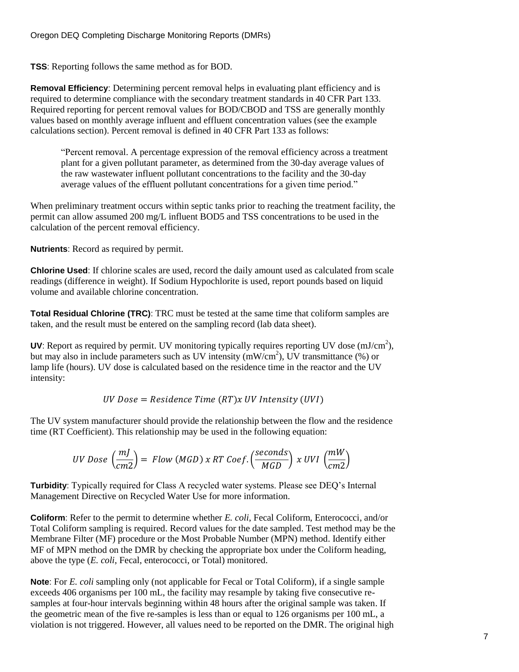**TSS**: Reporting follows the same method as for BOD.

**Removal Efficiency**: Determining percent removal helps in evaluating plant efficiency and is required to determine compliance with the secondary treatment standards in 40 CFR Part 133. Required reporting for percent removal values for BOD/CBOD and TSS are generally monthly values based on monthly average influent and effluent concentration values (see the example calculations section). Percent removal is defined in 40 CFR Part 133 as follows:

"Percent removal. A percentage expression of the removal efficiency across a treatment plant for a given pollutant parameter, as determined from the 30-day average values of the raw wastewater influent pollutant concentrations to the facility and the 30-day average values of the effluent pollutant concentrations for a given time period."

When preliminary treatment occurs within septic tanks prior to reaching the treatment facility, the permit can allow assumed 200 mg/L influent BOD5 and TSS concentrations to be used in the calculation of the percent removal efficiency.

**Nutrients**: Record as required by permit.

**Chlorine Used**: If chlorine scales are used, record the daily amount used as calculated from scale readings (difference in weight). If Sodium Hypochlorite is used, report pounds based on liquid volume and available chlorine concentration.

**Total Residual Chlorine (TRC)**: TRC must be tested at the same time that coliform samples are taken, and the result must be entered on the sampling record (lab data sheet).

**UV**: Report as required by permit. UV monitoring typically requires reporting UV dose  $(mJ/cm<sup>2</sup>)$ , but may also in include parameters such as UV intensity  $(mW/cm<sup>2</sup>)$ , UV transmittance (%) or lamp life (hours). UV dose is calculated based on the residence time in the reactor and the UV intensity:

UV Dose = Residence Time  $(RT)x$  UV Intensity (UVI)

The UV system manufacturer should provide the relationship between the flow and the residence time (RT Coefficient). This relationship may be used in the following equation:

$$
UV\,Dose\,\left(\frac{mJ}{cm2}\right) = Flow\,(MGD)\,x\,RT\,Coef.\left(\frac{seconds}{MGD}\right)\,x\,UVI\,\left(\frac{mW}{cm2}\right)
$$

**Turbidity**: Typically required for Class A recycled water systems. Please see DEQ's Internal Management Directive on Recycled Water Use for more information.

**Coliform**: Refer to the permit to determine whether *E. coli*, Fecal Coliform, Enterococci, and/or Total Coliform sampling is required. Record values for the date sampled. Test method may be the Membrane Filter (MF) procedure or the Most Probable Number (MPN) method. Identify either MF of MPN method on the DMR by checking the appropriate box under the Coliform heading, above the type (*E. coli*, Fecal, enterococci, or Total) monitored.

**Note**: For *E. coli* sampling only (not applicable for Fecal or Total Coliform), if a single sample exceeds 406 organisms per 100 mL, the facility may resample by taking five consecutive resamples at four-hour intervals beginning within 48 hours after the original sample was taken. If the geometric mean of the five re-samples is less than or equal to 126 organisms per 100 mL, a violation is not triggered. However, all values need to be reported on the DMR. The original high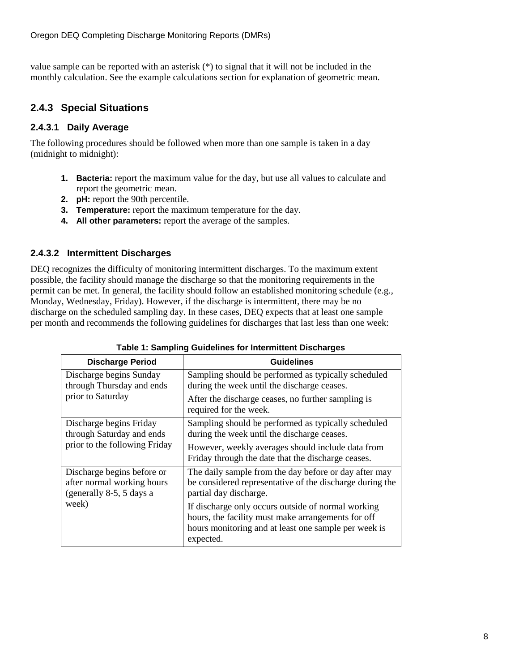value sample can be reported with an asterisk (\*) to signal that it will not be included in the monthly calculation. See the example calculations section for explanation of geometric mean.

#### <span id="page-12-0"></span>**2.4.3 Special Situations**

#### <span id="page-12-1"></span>**2.4.3.1 Daily Average**

The following procedures should be followed when more than one sample is taken in a day (midnight to midnight):

- **1. Bacteria:** report the maximum value for the day, but use all values to calculate and report the geometric mean.
- **2. pH:** report the 90th percentile.
- **3. Temperature:** report the maximum temperature for the day.
- **4. All other parameters:** report the average of the samples.

#### <span id="page-12-2"></span>**2.4.3.2 Intermittent Discharges**

DEQ recognizes the difficulty of monitoring intermittent discharges. To the maximum extent possible, the facility should manage the discharge so that the monitoring requirements in the permit can be met. In general, the facility should follow an established monitoring schedule (e.g., Monday, Wednesday, Friday). However, if the discharge is intermittent, there may be no discharge on the scheduled sampling day. In these cases, DEQ expects that at least one sample per month and recommends the following guidelines for discharges that last less than one week:

| <b>Discharge Period</b>                                                              | <b>Guidelines</b>                                                                                                                                                             |  |
|--------------------------------------------------------------------------------------|-------------------------------------------------------------------------------------------------------------------------------------------------------------------------------|--|
| Discharge begins Sunday<br>through Thursday and ends                                 | Sampling should be performed as typically scheduled<br>during the week until the discharge ceases.                                                                            |  |
| prior to Saturday                                                                    | After the discharge ceases, no further sampling is<br>required for the week.                                                                                                  |  |
| Discharge begins Friday<br>through Saturday and ends                                 | Sampling should be performed as typically scheduled<br>during the week until the discharge ceases.                                                                            |  |
| prior to the following Friday                                                        | However, weekly averages should include data from<br>Friday through the date that the discharge ceases.                                                                       |  |
| Discharge begins before or<br>after normal working hours<br>(generally 8-5, 5 days a | The daily sample from the day before or day after may<br>be considered representative of the discharge during the<br>partial day discharge.                                   |  |
| week)                                                                                | If discharge only occurs outside of normal working<br>hours, the facility must make arrangements for off<br>hours monitoring and at least one sample per week is<br>expected. |  |

|  |  | Table 1: Sampling Guidelines for Intermittent Discharges |  |
|--|--|----------------------------------------------------------|--|
|  |  |                                                          |  |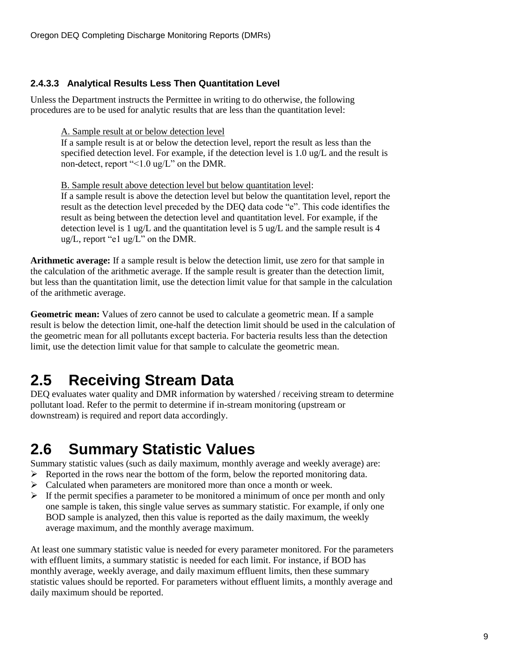#### <span id="page-13-0"></span>**2.4.3.3 Analytical Results Less Then Quantitation Level**

Unless the Department instructs the Permittee in writing to do otherwise, the following procedures are to be used for analytic results that are less than the quantitation level:

A. Sample result at or below detection level

If a sample result is at or below the detection level, report the result as less than the specified detection level. For example, if the detection level is 1.0 ug/L and the result is non-detect, report "<1.0 ug/L" on the DMR.

B. Sample result above detection level but below quantitation level:

If a sample result is above the detection level but below the quantitation level, report the result as the detection level preceded by the DEQ data code "e". This code identifies the result as being between the detection level and quantitation level. For example, if the detection level is 1 ug/L and the quantitation level is 5 ug/L and the sample result is 4 ug/L, report "e1 ug/L" on the DMR.

**Arithmetic average:** If a sample result is below the detection limit, use zero for that sample in the calculation of the arithmetic average. If the sample result is greater than the detection limit, but less than the quantitation limit, use the detection limit value for that sample in the calculation of the arithmetic average.

**Geometric mean:** Values of zero cannot be used to calculate a geometric mean. If a sample result is below the detection limit, one-half the detection limit should be used in the calculation of the geometric mean for all pollutants except bacteria. For bacteria results less than the detection limit, use the detection limit value for that sample to calculate the geometric mean.

### <span id="page-13-1"></span>**2.5 Receiving Stream Data**

DEQ evaluates water quality and DMR information by watershed / receiving stream to determine pollutant load. Refer to the permit to determine if in-stream monitoring (upstream or downstream) is required and report data accordingly.

### <span id="page-13-2"></span>**2.6 Summary Statistic Values**

Summary statistic values (such as daily maximum, monthly average and weekly average) are:

- $\triangleright$  Reported in the rows near the bottom of the form, below the reported monitoring data.
- $\triangleright$  Calculated when parameters are monitored more than once a month or week.
- $\triangleright$  If the permit specifies a parameter to be monitored a minimum of once per month and only one sample is taken, this single value serves as summary statistic. For example, if only one BOD sample is analyzed, then this value is reported as the daily maximum, the weekly average maximum, and the monthly average maximum.

At least one summary statistic value is needed for every parameter monitored. For the parameters with effluent limits, a summary statistic is needed for each limit. For instance, if BOD has monthly average, weekly average, and daily maximum effluent limits, then these summary statistic values should be reported. For parameters without effluent limits, a monthly average and daily maximum should be reported.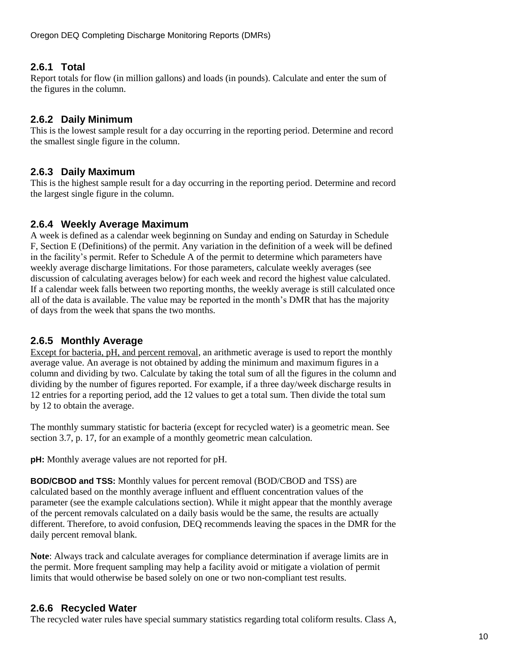#### <span id="page-14-0"></span>**2.6.1 Total**

Report totals for flow (in million gallons) and loads (in pounds). Calculate and enter the sum of the figures in the column.

#### <span id="page-14-1"></span>**2.6.2 Daily Minimum**

This is the lowest sample result for a day occurring in the reporting period. Determine and record the smallest single figure in the column.

#### <span id="page-14-2"></span>**2.6.3 Daily Maximum**

This is the highest sample result for a day occurring in the reporting period. Determine and record the largest single figure in the column.

#### <span id="page-14-3"></span>**2.6.4 Weekly Average Maximum**

A week is defined as a calendar week beginning on Sunday and ending on Saturday in Schedule F, Section E (Definitions) of the permit. Any variation in the definition of a week will be defined in the facility's permit. Refer to Schedule A of the permit to determine which parameters have weekly average discharge limitations. For those parameters, calculate weekly averages (see discussion of calculating averages below) for each week and record the highest value calculated. If a calendar week falls between two reporting months, the weekly average is still calculated once all of the data is available. The value may be reported in the month's DMR that has the majority of days from the week that spans the two months.

#### <span id="page-14-4"></span>**2.6.5 Monthly Average**

Except for bacteria, pH, and percent removal, an arithmetic average is used to report the monthly average value. An average is not obtained by adding the minimum and maximum figures in a column and dividing by two. Calculate by taking the total sum of all the figures in the column and dividing by the number of figures reported. For example, if a three day/week discharge results in 12 entries for a reporting period, add the 12 values to get a total sum. Then divide the total sum by 12 to obtain the average.

The monthly summary statistic for bacteria (except for recycled water) is a geometric mean. See section [3.7,](#page-21-0) p. [17,](#page-21-0) for an example of a monthly geometric mean calculation.

**pH:** Monthly average values are not reported for pH.

**BOD/CBOD and TSS:** Monthly values for percent removal (BOD/CBOD and TSS) are calculated based on the monthly average influent and effluent concentration values of the parameter (see the example calculations section). While it might appear that the monthly average of the percent removals calculated on a daily basis would be the same, the results are actually different. Therefore, to avoid confusion, DEQ recommends leaving the spaces in the DMR for the daily percent removal blank.

**Note**: Always track and calculate averages for compliance determination if average limits are in the permit. More frequent sampling may help a facility avoid or mitigate a violation of permit limits that would otherwise be based solely on one or two non-compliant test results.

#### <span id="page-14-5"></span>**2.6.6 Recycled Water**

The recycled water rules have special summary statistics regarding total coliform results. Class A,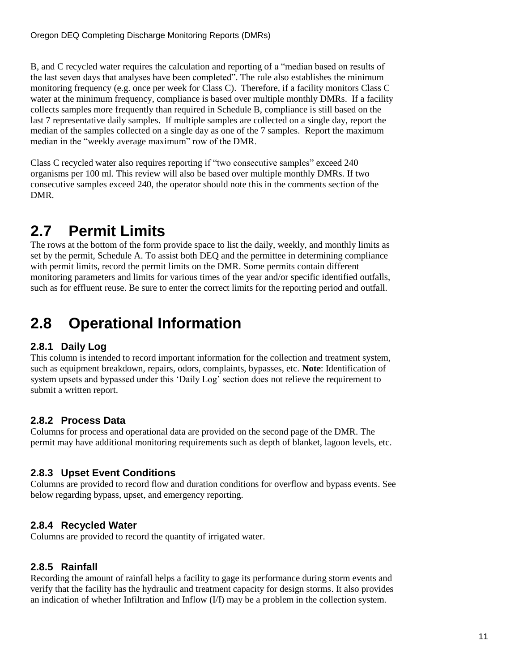B, and C recycled water requires the calculation and reporting of a "median based on results of the last seven days that analyses have been completed". The rule also establishes the minimum monitoring frequency (e.g. once per week for Class C). Therefore, if a facility monitors Class C water at the minimum frequency, compliance is based over multiple monthly DMRs. If a facility collects samples more frequently than required in Schedule B, compliance is still based on the last 7 representative daily samples. If multiple samples are collected on a single day, report the median of the samples collected on a single day as one of the 7 samples. Report the maximum median in the "weekly average maximum" row of the DMR.

Class C recycled water also requires reporting if "two consecutive samples" exceed 240 organisms per 100 ml. This review will also be based over multiple monthly DMRs. If two consecutive samples exceed 240, the operator should note this in the comments section of the DMR.

# <span id="page-15-0"></span>**2.7 Permit Limits**

The rows at the bottom of the form provide space to list the daily, weekly, and monthly limits as set by the permit, Schedule A. To assist both DEQ and the permittee in determining compliance with permit limits, record the permit limits on the DMR. Some permits contain different monitoring parameters and limits for various times of the year and/or specific identified outfalls, such as for effluent reuse. Be sure to enter the correct limits for the reporting period and outfall.

# <span id="page-15-1"></span>**2.8 Operational Information**

#### <span id="page-15-2"></span>**2.8.1 Daily Log**

This column is intended to record important information for the collection and treatment system, such as equipment breakdown, repairs, odors, complaints, bypasses, etc. **Note**: Identification of system upsets and bypassed under this 'Daily Log' section does not relieve the requirement to submit a written report.

#### <span id="page-15-3"></span>**2.8.2 Process Data**

Columns for process and operational data are provided on the second page of the DMR. The permit may have additional monitoring requirements such as depth of blanket, lagoon levels, etc.

#### <span id="page-15-4"></span>**2.8.3 Upset Event Conditions**

Columns are provided to record flow and duration conditions for overflow and bypass events. See below regarding bypass, upset, and emergency reporting.

#### <span id="page-15-5"></span>**2.8.4 Recycled Water**

Columns are provided to record the quantity of irrigated water.

#### <span id="page-15-6"></span>**2.8.5 Rainfall**

Recording the amount of rainfall helps a facility to gage its performance during storm events and verify that the facility has the hydraulic and treatment capacity for design storms. It also provides an indication of whether Infiltration and Inflow (I/I) may be a problem in the collection system.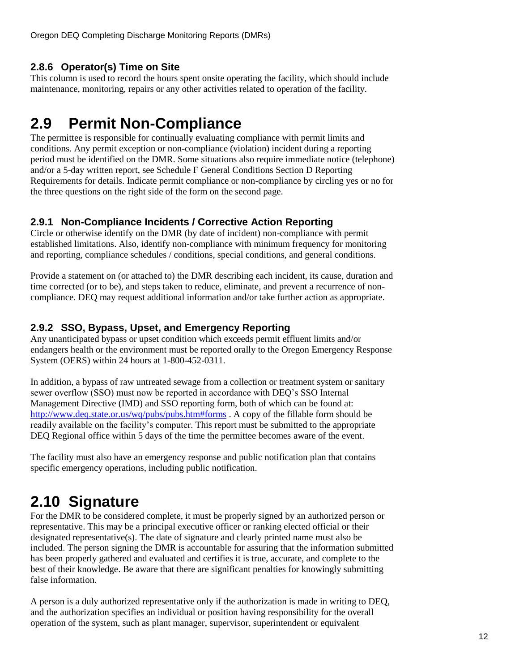#### <span id="page-16-0"></span>**2.8.6 Operator(s) Time on Site**

This column is used to record the hours spent onsite operating the facility, which should include maintenance, monitoring, repairs or any other activities related to operation of the facility.

# <span id="page-16-1"></span>**2.9 Permit Non-Compliance**

The permittee is responsible for continually evaluating compliance with permit limits and conditions. Any permit exception or non-compliance (violation) incident during a reporting period must be identified on the DMR. Some situations also require immediate notice (telephone) and/or a 5-day written report, see Schedule F General Conditions Section D Reporting Requirements for details. Indicate permit compliance or non-compliance by circling yes or no for the three questions on the right side of the form on the second page.

#### <span id="page-16-2"></span>**2.9.1 Non-Compliance Incidents / Corrective Action Reporting**

Circle or otherwise identify on the DMR (by date of incident) non-compliance with permit established limitations. Also, identify non-compliance with minimum frequency for monitoring and reporting, compliance schedules / conditions, special conditions, and general conditions.

Provide a statement on (or attached to) the DMR describing each incident, its cause, duration and time corrected (or to be), and steps taken to reduce, eliminate, and prevent a recurrence of noncompliance. DEQ may request additional information and/or take further action as appropriate.

#### <span id="page-16-3"></span>**2.9.2 SSO, Bypass, Upset, and Emergency Reporting**

Any unanticipated bypass or upset condition which exceeds permit effluent limits and/or endangers health or the environment must be reported orally to the Oregon Emergency Response System (OERS) within 24 hours at 1-800-452-0311.

In addition, a bypass of raw untreated sewage from a collection or treatment system or sanitary sewer overflow (SSO) must now be reported in accordance with DEQ's SSO Internal Management Directive (IMD) and SSO reporting form, both of which can be found at: <http://www.deq.state.or.us/wq/pubs/pubs.htm#forms> . A copy of the fillable form should be readily available on the facility's computer. This report must be submitted to the appropriate DEQ Regional office within 5 days of the time the permittee becomes aware of the event.

The facility must also have an emergency response and public notification plan that contains specific emergency operations, including public notification.

# <span id="page-16-4"></span>**2.10 Signature**

For the DMR to be considered complete, it must be properly signed by an authorized person or representative. This may be a principal executive officer or ranking elected official or their designated representative(s). The date of signature and clearly printed name must also be included. The person signing the DMR is accountable for assuring that the information submitted has been properly gathered and evaluated and certifies it is true, accurate, and complete to the best of their knowledge. Be aware that there are significant penalties for knowingly submitting false information.

A person is a duly authorized representative only if the authorization is made in writing to DEQ, and the authorization specifies an individual or position having responsibility for the overall operation of the system, such as plant manager, supervisor, superintendent or equivalent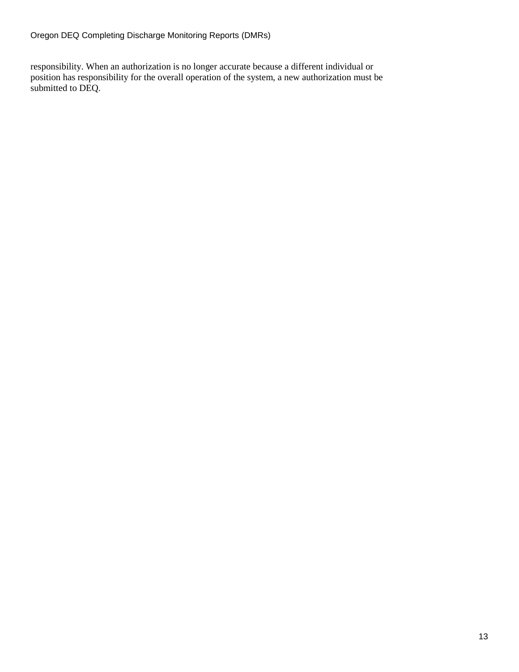responsibility. When an authorization is no longer accurate because a different individual or position has responsibility for the overall operation of the system, a new authorization must be submitted to DEQ.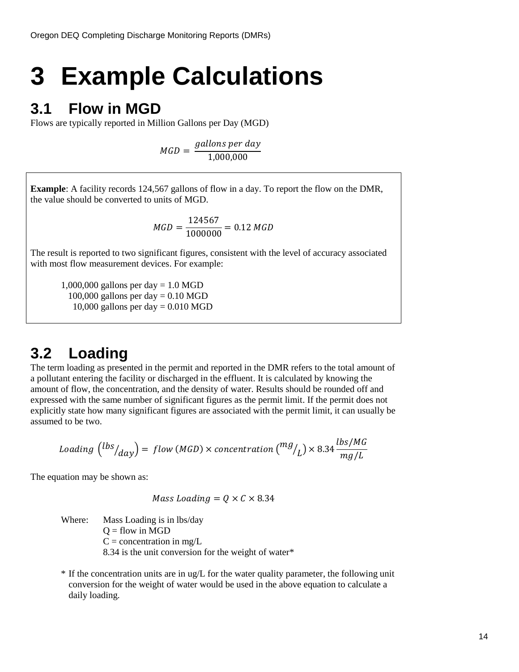# <span id="page-18-0"></span>**3 Example Calculations**

### <span id="page-18-1"></span>**3.1 Flow in MGD**

Flows are typically reported in Million Gallons per Day (MGD)

$$
MGD = \frac{gallons\ per\ day}{1,000,000}
$$

**Example**: A facility records 124,567 gallons of flow in a day. To report the flow on the DMR, the value should be converted to units of MGD.

$$
MGD = \frac{124567}{1000000} = 0.12 \, MGD
$$

The result is reported to two significant figures, consistent with the level of accuracy associated with most flow measurement devices. For example:

1,000,000 gallons per day  $= 1.0$  MGD 100,000 gallons per day  $= 0.10$  MGD 10,000 gallons per day  $= 0.010$  MGD

### <span id="page-18-2"></span>**3.2 Loading**

The term loading as presented in the permit and reported in the DMR refers to the total amount of a pollutant entering the facility or discharged in the effluent. It is calculated by knowing the amount of flow, the concentration, and the density of water. Results should be rounded off and expressed with the same number of significant figures as the permit limit. If the permit does not explicitly state how many significant figures are associated with the permit limit, it can usually be assumed to be two.

$$
loading\,\left({\frac{lbs}{day}}\right) = flow\,(MGD) \times concentration\,\left({\frac{mg}{L}}\right) \times 8.34\,\frac{lbs/MG}{mg/L}
$$

The equation may be shown as:

$$
Mass\,loading = Q \times C \times 8.34
$$

Where: Mass Loading is in lbs/day  $Q =$  flow in MGD  $C =$  concentration in mg/L 8.34 is the unit conversion for the weight of water\*

 $*$  If the concentration units are in ug/L for the water quality parameter, the following unit conversion for the weight of water would be used in the above equation to calculate a daily loading.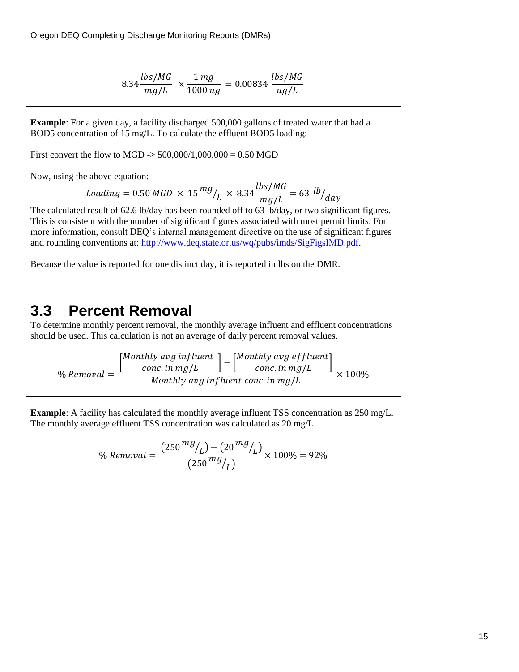$$
8.34 \frac{lbs/MG}{mg/L} \times \frac{1 \, mg}{1000 \, ug} = 0.00834 \, \frac{lbs/MG}{ug/L}
$$

**Example**: For a given day, a facility discharged 500,000 gallons of treated water that had a BOD5 concentration of 15 mg/L. To calculate the effluent BOD5 loading:

First convert the flow to MGD  $\sim$  500,000/1,000,000 = 0.50 MGD

Now, using the above equation:

$$
loading = 0.50\,MG \times 15 \frac{mg}{L} \times 8.34 \frac{lbs/MG}{mg/L} = 63 \frac{l b}{d a}
$$

The calculated result of 62.6 lb/day has been rounded off to 63 lb/day, or two significant figures. This is consistent with the number of significant figures associated with most permit limits. For more information, consult DEQ's internal management directive on the use of significant figures and rounding conventions at[: http://www.deq.state.or.us/wq/pubs/imds/SigFigsIMD.pdf.](http://www.deq.state.or.us/wq/pubs/imds/SigFigsIMD.pdf)

Because the value is reported for one distinct day, it is reported in lbs on the DMR.

### <span id="page-19-0"></span>**3.3 Percent Removal**

To determine monthly percent removal, the monthly average influent and effluent concentrations should be used. This calculation is not an average of daily percent removal values.

 $\frac{0}{0}$  $\lceil M$ thly avg inf luent ] – [<sup>M</sup><br>conc. in mg/L  $\left[\begin{array}{c} cm \end{array}\right]$  and  $\left[\begin{array}{c} cm \end{array}\right]$ Monthly avg influent conc. in mg/L  $\times$ 

**Example**: A facility has calculated the monthly average influent TSS concentration as 250 mg/L. The monthly average effluent TSS concentration was calculated as 20 mg/L.

> $\frac{0}{0}$  $(250 \frac{\mu g}{L}) - (20 \frac{\mu g}{L})$  $(250^{m}y)_{L}$  $\times$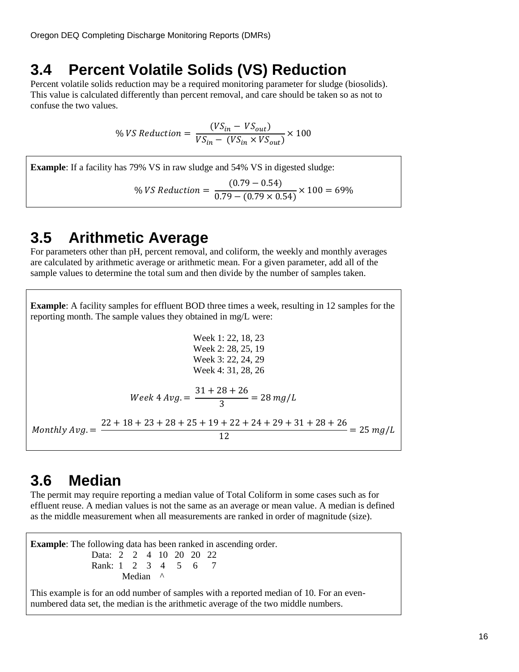### <span id="page-20-0"></span>**3.4 Percent Volatile Solids (VS) Reduction**

Percent volatile solids reduction may be a required monitoring parameter for sludge (biosolids). This value is calculated differently than percent removal, and care should be taken so as not to confuse the two values.

$$
\% VS \, Reduction = \frac{(VS_{in} - VS_{out})}{VS_{in} - (VS_{in} \times VS_{out})} \times 100
$$

**Example**: If a facility has 79% VS in raw sludge and 54% VS in digested sludge:

% VS Reduction = 
$$
\frac{(0.79 - 0.54)}{0.79 - (0.79 \times 0.54)} \times 100 = 69\%
$$

### <span id="page-20-1"></span>**3.5 Arithmetic Average**

For parameters other than pH, percent removal, and coliform, the weekly and monthly averages are calculated by arithmetic average or arithmetic mean. For a given parameter, add all of the sample values to determine the total sum and then divide by the number of samples taken.

**Example**: A facility samples for effluent BOD three times a week, resulting in 12 samples for the reporting month. The sample values they obtained in mg/L were:

$$
\text{Week 1: } 22, 18, 23
$$
\n
$$
\text{Week 2: } 28, 25, 19
$$
\n
$$
\text{Week 3: } 22, 24, 29
$$
\n
$$
\text{Week 4: } 31, 28, 26
$$
\n
$$
\text{Week 4} \cdot 31, 28, 26
$$
\n
$$
\text{Week 4} \cdot 31, 28, 26
$$
\n
$$
\text{Work 4} \cdot 31, 28 + 26 = 28 \cdot \text{mg/L}
$$
\n
$$
\text{Monthly Avg.} = \frac{22 + 18 + 23 + 28 + 25 + 19 + 22 + 24 + 29 + 31 + 28 + 26}{12} = 25 \cdot \text{mg/L}
$$

### <span id="page-20-2"></span>**3.6 Median**

The permit may require reporting a median value of Total Coliform in some cases such as for effluent reuse. A median values is not the same as an average or mean value. A median is defined as the middle measurement when all measurements are ranked in order of magnitude (size).

**Example**: The following data has been ranked in ascending order. Data: 2 2 4 10 20 20 22 Rank: 1 2 3 4 5 6 7 Median ^

This example is for an odd number of samples with a reported median of 10. For an evennumbered data set, the median is the arithmetic average of the two middle numbers.